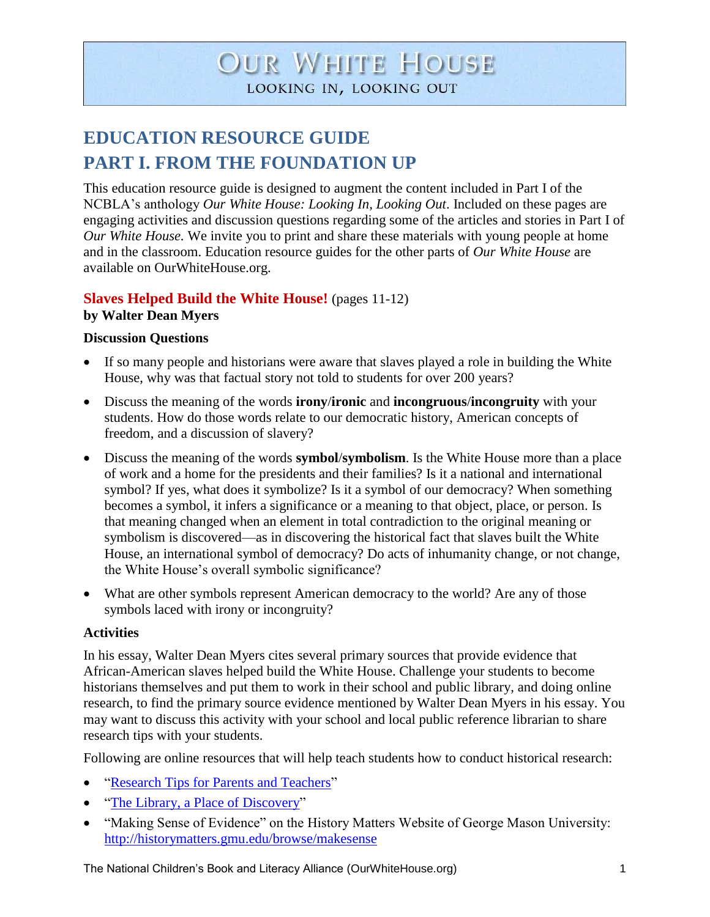# **OUR WHITE HOUSE** LOOKING IN, LOOKING OUT

# **EDUCATION RESOURCE GUIDE PART I. FROM THE FOUNDATION UP**

This education resource guide is designed to augment the content included in Part I of the NCBLA's anthology *Our White House: Looking In, Looking Out*. Included on these pages are engaging activities and discussion questions regarding some of the articles and stories in Part I of *Our White House.* We invite you to print and share these materials with young people at home and in the classroom. Education resource guides for the other parts of *Our White House* are available on OurWhiteHouse.org.

## **Slaves Helped Build the White House!** (pages 11-12) **by Walter Dean Myers**

## **Discussion Questions**

- If so many people and historians were aware that slaves played a role in building the White House, why was that factual story not told to students for over 200 years?
- Discuss the meaning of the words **irony**/**ironic** and **incongruous**/**incongruity** with your students. How do those words relate to our democratic history, American concepts of freedom, and a discussion of slavery?
- Discuss the meaning of the words **symbol**/**symbolism**. Is the White House more than a place of work and a home for the presidents and their families? Is it a national and international symbol? If yes, what does it symbolize? Is it a symbol of our democracy? When something becomes a symbol, it infers a significance or a meaning to that object, place, or person. Is that meaning changed when an element in total contradiction to the original meaning or symbolism is discovered—as in discovering the historical fact that slaves built the White House, an international symbol of democracy? Do acts of inhumanity change, or not change, the White House's overall symbolic significance?
- What are other symbols represent American democracy to the world? Are any of those symbols laced with irony or incongruity?

## **Activities**

In his essay, Walter Dean Myers cites several primary sources that provide evidence that African-American slaves helped build the White House. Challenge your students to become historians themselves and put them to work in their school and public library, and doing online research, to find the primary source evidence mentioned by Walter Dean Myers in his essay. You may want to discuss this activity with your school and local public reference librarian to share research tips with your students.

Following are online resources that will help teach students how to conduct historical research:

- ["Research Tips for Parents and Teachers"](http://ourwhitehouse.org/research-tips-for-parents-and-teachers/)
- ["The Library, a Place of Discovery"](http://ourwhitehouse.org/the-library-a-place-of-discovery/)
- "Making Sense of Evidence" on the History Matters Website of George Mason University: <http://historymatters.gmu.edu/browse/makesense>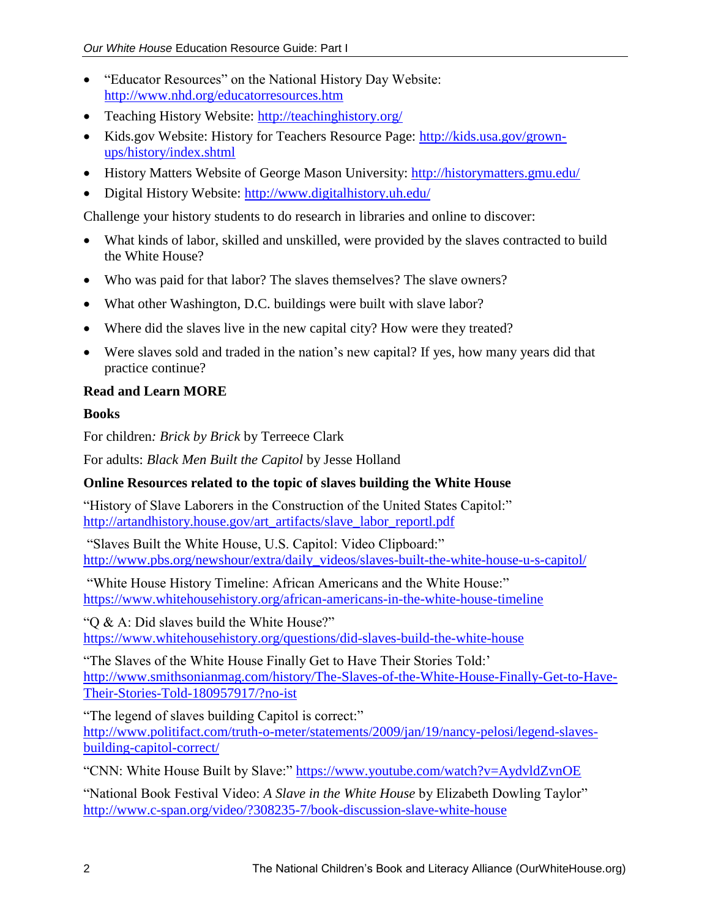- "Educator Resources" on the National History Day Website: <http://www.nhd.org/educatorresources.htm>
- Teaching History Website:<http://teachinghistory.org/>
- Kids.gov Website: History for Teachers Resource Page: [http://kids.usa.gov/grown](http://kids.usa.gov/grown-ups/history/index.shtml)[ups/history/index.shtml](http://kids.usa.gov/grown-ups/history/index.shtml)
- History Matters Website of George Mason University:<http://historymatters.gmu.edu/>
- Digital History Website:<http://www.digitalhistory.uh.edu/>

Challenge your history students to do research in libraries and online to discover:

- What kinds of labor, skilled and unskilled, were provided by the slaves contracted to build the White House?
- Who was paid for that labor? The slaves themselves? The slave owners?
- What other Washington, D.C. buildings were built with slave labor?
- Where did the slaves live in the new capital city? How were they treated?
- Were slaves sold and traded in the nation's new capital? If yes, how many years did that practice continue?

## **Read and Learn MORE**

## **Books**

For children*: Brick by Brick* by Terreece Clark

For adults: *Black Men Built the Capitol* by Jesse Holland

## **Online Resources related to the topic of slaves building the White House**

"History of Slave Laborers in the Construction of the United States Capitol:" [http://artandhistory.house.gov/art\\_artifacts/slave\\_labor\\_reportl.pdf](http://artandhistory.house.gov/art_artifacts/slave_labor_reportl.pdf)

"Slaves Built the White House, U.S. Capitol: Video Clipboard:" [http://www.pbs.org/newshour/extra/daily\\_videos/slaves-built-the-white-house-u-s-capitol/](http://www.pbs.org/newshour/extra/daily_videos/slaves-built-the-white-house-u-s-capitol/)

"White House History Timeline: African Americans and the White House:" <https://www.whitehousehistory.org/african-americans-in-the-white-house-timeline>

"Q & A: Did slaves build the White House?" <https://www.whitehousehistory.org/questions/did-slaves-build-the-white-house>

"The Slaves of the White House Finally Get to Have Their Stories Told:' [http://www.smithsonianmag.com/history/The-Slaves-of-the-White-House-Finally-Get-to-Have-](http://www.smithsonianmag.com/history/The-Slaves-of-the-White-House-Finally-Get-to-Have-Their-Stories-Told-180957917/?no-ist)[Their-Stories-Told-180957917/?no-ist](http://www.smithsonianmag.com/history/The-Slaves-of-the-White-House-Finally-Get-to-Have-Their-Stories-Told-180957917/?no-ist)

"The legend of slaves building Capitol is correct:" [http://www.politifact.com/truth-o-meter/statements/2009/jan/19/nancy-pelosi/legend-slaves](http://www.politifact.com/truth-o-meter/statements/2009/jan/19/nancy-pelosi/legend-slaves-building-capitol-correct/)[building-capitol-correct/](http://www.politifact.com/truth-o-meter/statements/2009/jan/19/nancy-pelosi/legend-slaves-building-capitol-correct/)

"CNN: White House Built by Slave:"<https://www.youtube.com/watch?v=AydvldZvnOE>

"National Book Festival Video: *A Slave in the White House* by Elizabeth Dowling Taylor" <http://www.c-span.org/video/?308235-7/book-discussion-slave-white-house>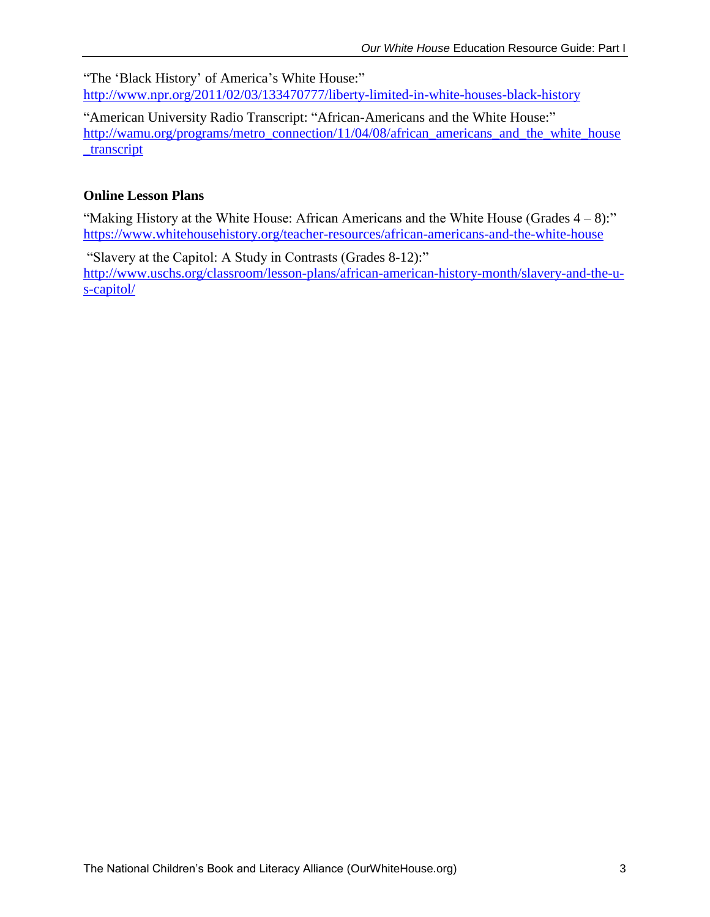"The 'Black History' of America's White House:" <http://www.npr.org/2011/02/03/133470777/liberty-limited-in-white-houses-black-history>

"American University Radio Transcript: "African-Americans and the White House:" [http://wamu.org/programs/metro\\_connection/11/04/08/african\\_americans\\_and\\_the\\_white\\_house](http://wamu.org/programs/metro_connection/11/04/08/african_americans_and_the_white_house_transcript) [\\_transcript](http://wamu.org/programs/metro_connection/11/04/08/african_americans_and_the_white_house_transcript)

## **Online Lesson Plans**

"Making History at the White House: African Americans and the White House (Grades  $4 - 8$ ):" <https://www.whitehousehistory.org/teacher-resources/african-americans-and-the-white-house>

"Slavery at the Capitol: A Study in Contrasts (Grades 8-12):" [http://www.uschs.org/classroom/lesson-plans/african-american-history-month/slavery-and-the-u](http://www.uschs.org/classroom/lesson-plans/african-american-history-month/slavery-and-the-u-s-capitol/)[s-capitol/](http://www.uschs.org/classroom/lesson-plans/african-american-history-month/slavery-and-the-u-s-capitol/)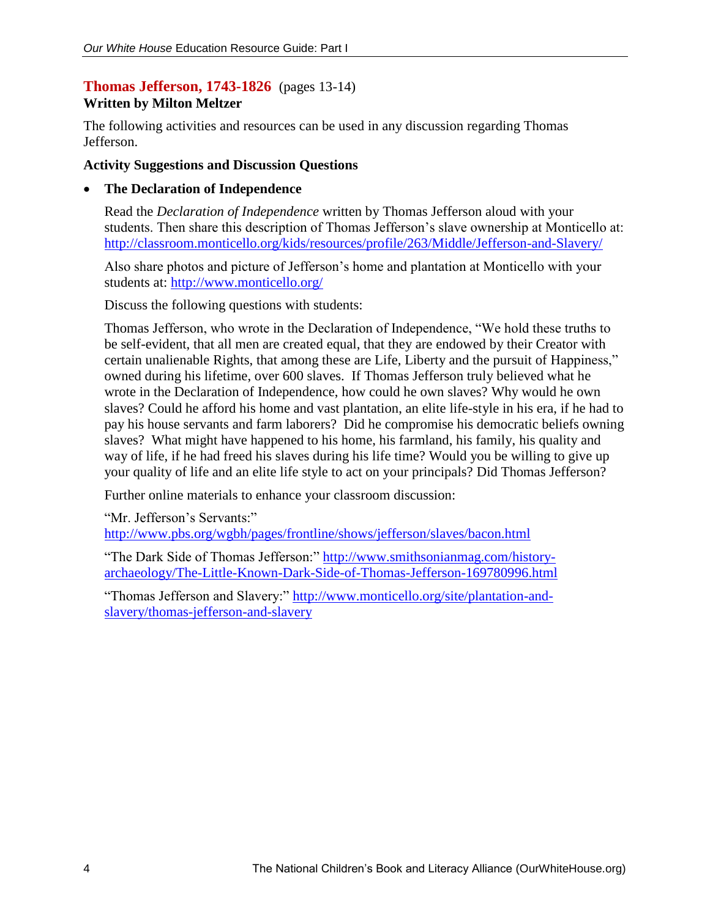## **Thomas Jefferson, 1743-1826** (pages 13-14)

## **Written by Milton Meltzer**

The following activities and resources can be used in any discussion regarding Thomas Jefferson.

#### **Activity Suggestions and Discussion Questions**

#### **The Declaration of Independence**

Read the *Declaration of Independence* written by Thomas Jefferson aloud with your students. Then share this description of Thomas Jefferson's slave ownership at Monticello at: <http://classroom.monticello.org/kids/resources/profile/263/Middle/Jefferson-and-Slavery/>

Also share photos and picture of Jefferson's home and plantation at Monticello with your students at:<http://www.monticello.org/>

Discuss the following questions with students:

Thomas Jefferson, who wrote in the Declaration of Independence, "We hold these truths to be self-evident, that all men are created equal, that they are endowed by their Creator with certain unalienable Rights, that among these are Life, Liberty and the pursuit of Happiness," owned during his lifetime, over 600 slaves. If Thomas Jefferson truly believed what he wrote in the Declaration of Independence, how could he own slaves? Why would he own slaves? Could he afford his home and vast plantation, an elite life-style in his era, if he had to pay his house servants and farm laborers? Did he compromise his democratic beliefs owning slaves? What might have happened to his home, his farmland, his family, his quality and way of life, if he had freed his slaves during his life time? Would you be willing to give up your quality of life and an elite life style to act on your principals? Did Thomas Jefferson?

Further online materials to enhance your classroom discussion:

"Mr. Jefferson's Servants:" <http://www.pbs.org/wgbh/pages/frontline/shows/jefferson/slaves/bacon.html>

"The Dark Side of Thomas Jefferson:" [http://www.smithsonianmag.com/history](http://www.smithsonianmag.com/history-archaeology/The-Little-Known-Dark-Side-of-Thomas-Jefferson-169780996.html)[archaeology/The-Little-Known-Dark-Side-of-Thomas-Jefferson-169780996.html](http://www.smithsonianmag.com/history-archaeology/The-Little-Known-Dark-Side-of-Thomas-Jefferson-169780996.html)

"Thomas Jefferson and Slavery:" [http://www.monticello.org/site/plantation-and](http://www.monticello.org/site/plantation-and-slavery/thomas-jefferson-and-slavery)[slavery/thomas-jefferson-and-slavery](http://www.monticello.org/site/plantation-and-slavery/thomas-jefferson-and-slavery)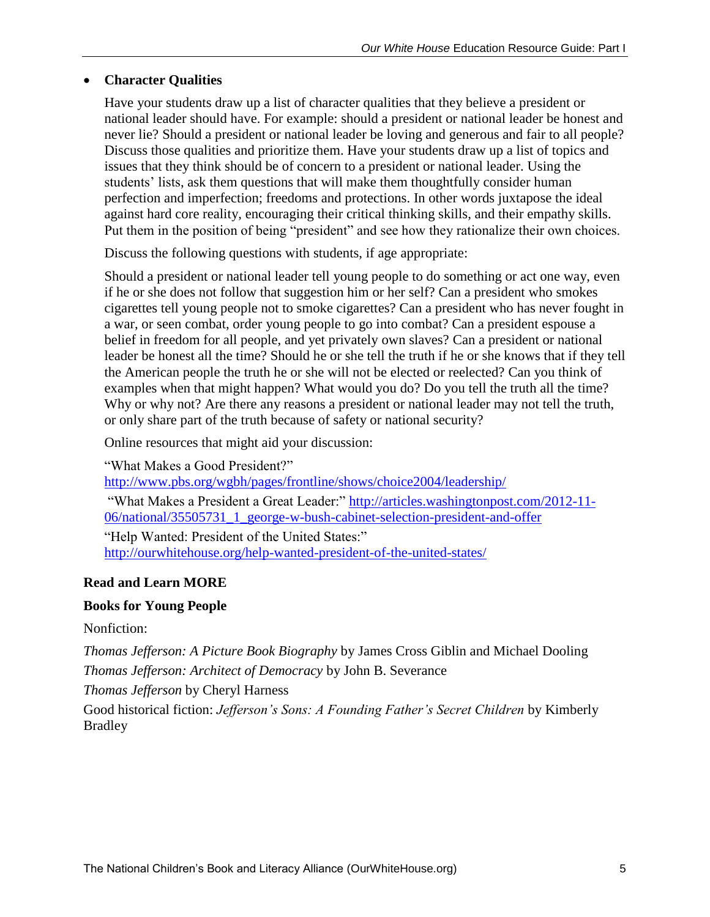## **Character Qualities**

Have your students draw up a list of character qualities that they believe a president or national leader should have. For example: should a president or national leader be honest and never lie? Should a president or national leader be loving and generous and fair to all people? Discuss those qualities and prioritize them. Have your students draw up a list of topics and issues that they think should be of concern to a president or national leader. Using the students' lists, ask them questions that will make them thoughtfully consider human perfection and imperfection; freedoms and protections. In other words juxtapose the ideal against hard core reality, encouraging their critical thinking skills, and their empathy skills. Put them in the position of being "president" and see how they rationalize their own choices.

Discuss the following questions with students, if age appropriate:

Should a president or national leader tell young people to do something or act one way, even if he or she does not follow that suggestion him or her self? Can a president who smokes cigarettes tell young people not to smoke cigarettes? Can a president who has never fought in a war, or seen combat, order young people to go into combat? Can a president espouse a belief in freedom for all people, and yet privately own slaves? Can a president or national leader be honest all the time? Should he or she tell the truth if he or she knows that if they tell the American people the truth he or she will not be elected or reelected? Can you think of examples when that might happen? What would you do? Do you tell the truth all the time? Why or why not? Are there any reasons a president or national leader may not tell the truth, or only share part of the truth because of safety or national security?

Online resources that might aid your discussion:

"What Makes a Good President?"

<http://www.pbs.org/wgbh/pages/frontline/shows/choice2004/leadership/> "What Makes a President a Great Leader:" [http://articles.washingtonpost.com/2012-11-](http://articles.washingtonpost.com/2012-11-06/national/35505731_1_george-w-bush-cabinet-selection-president-and-offer) [06/national/35505731\\_1\\_george-w-bush-cabinet-selection-president-and-offer](http://articles.washingtonpost.com/2012-11-06/national/35505731_1_george-w-bush-cabinet-selection-president-and-offer) "Help Wanted: President of the United States:" <http://ourwhitehouse.org/help-wanted-president-of-the-united-states/>

## **Read and Learn MORE**

## **Books for Young People**

Nonfiction:

*Thomas Jefferson: A Picture Book Biography* by James Cross Giblin and Michael Dooling *Thomas Jefferson: Architect of Democracy* by John B. Severance

*Thomas Jefferson* by Cheryl Harness

Good historical fiction: *Jefferson's Sons: A Founding Father's Secret Children* by Kimberly Bradley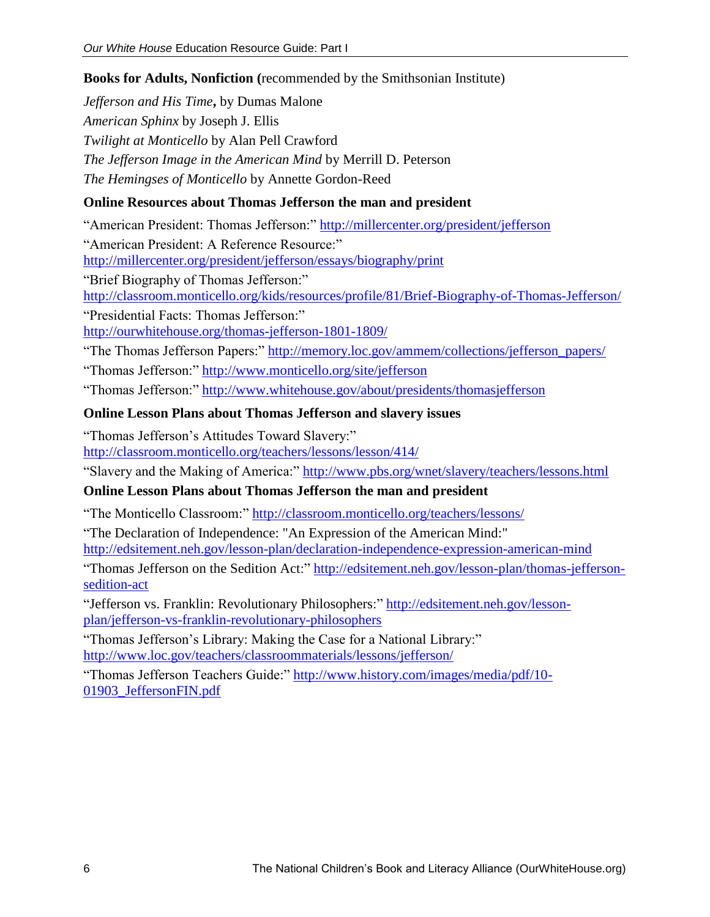## **Books for Adults, Nonfiction (**recommended by the Smithsonian Institute)

*Jefferson and His Time***,** by Dumas Malone *American Sphinx* by Joseph J. Ellis *Twilight at Monticello* by Alan Pell Crawford *The Jefferson Image in the American Mind* by Merrill D. Peterson *The Hemingses of Monticello* by Annette Gordon-Reed

## **Online Resources about Thomas Jefferson the man and president**

"American President: Thomas Jefferson:"<http://millercenter.org/president/jefferson> "American President: A Reference Resource:" <http://millercenter.org/president/jefferson/essays/biography/print>

"Brief Biography of Thomas Jefferson:" <http://classroom.monticello.org/kids/resources/profile/81/Brief-Biography-of-Thomas-Jefferson/> "Presidential Facts: Thomas Jefferson:"

<http://ourwhitehouse.org/thomas-jefferson-1801-1809/>

"The Thomas Jefferson Papers:" [http://memory.loc.gov/ammem/collections/jefferson\\_papers/](http://memory.loc.gov/ammem/collections/jefferson_papers/)

"Thomas Jefferson:"<http://www.monticello.org/site/jefferson>

"Thomas Jefferson:"<http://www.whitehouse.gov/about/presidents/thomasjefferson>

## **Online Lesson Plans about Thomas Jefferson and slavery issues**

"Thomas Jefferson's Attitudes Toward Slavery:" <http://classroom.monticello.org/teachers/lessons/lesson/414/>

"Slavery and the Making of America:"<http://www.pbs.org/wnet/slavery/teachers/lessons.html>

## **Online Lesson Plans about Thomas Jefferson the man and president**

"The Monticello Classroom:"<http://classroom.monticello.org/teachers/lessons/>

"The Declaration of Independence: "An Expression of the American Mind:" <http://edsitement.neh.gov/lesson-plan/declaration-independence-expression-american-mind>

"Thomas Jefferson on the Sedition Act:" [http://edsitement.neh.gov/lesson-plan/thomas-jefferson](http://edsitement.neh.gov/lesson-plan/thomas-jefferson-sedition-act)[sedition-act](http://edsitement.neh.gov/lesson-plan/thomas-jefferson-sedition-act)

"Jefferson vs. Franklin: Revolutionary Philosophers:" [http://edsitement.neh.gov/lesson](http://edsitement.neh.gov/lesson-plan/jefferson-vs-franklin-revolutionary-philosophers)[plan/jefferson-vs-franklin-revolutionary-philosophers](http://edsitement.neh.gov/lesson-plan/jefferson-vs-franklin-revolutionary-philosophers)

"Thomas Jefferson's Library: Making the Case for a National Library:" <http://www.loc.gov/teachers/classroommaterials/lessons/jefferson/>

"Thomas Jefferson Teachers Guide:" [http://www.history.com/images/media/pdf/10-](http://www.history.com/images/media/pdf/10-01903_JeffersonFIN.pdf) [01903\\_JeffersonFIN.pdf](http://www.history.com/images/media/pdf/10-01903_JeffersonFIN.pdf)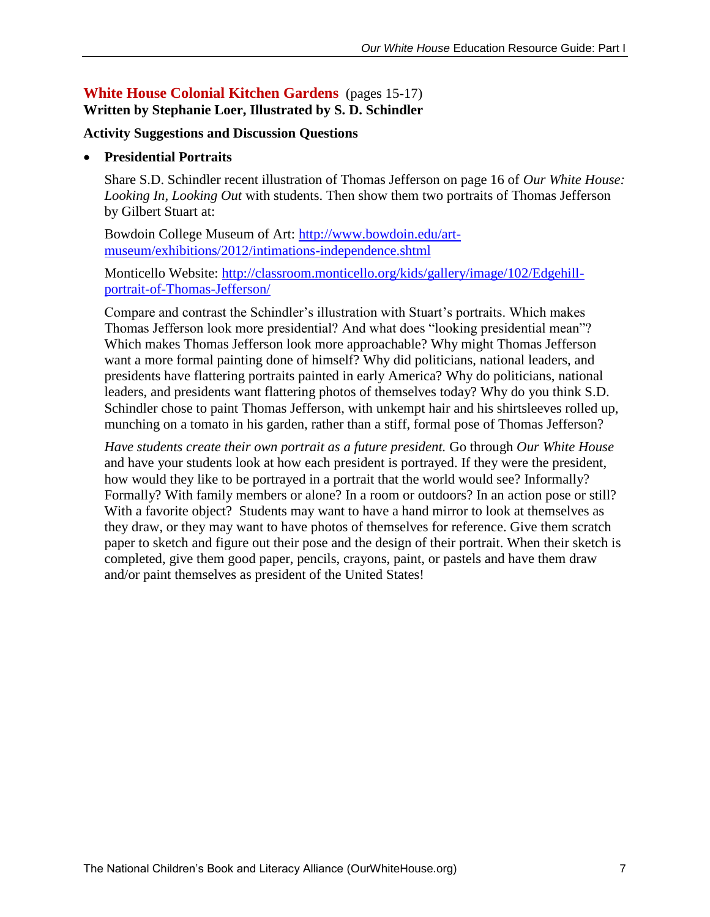## **White House Colonial Kitchen Gardens** (pages 15-17) **Written by Stephanie Loer, Illustrated by S. D. Schindler**

#### **Activity Suggestions and Discussion Questions**

#### **Presidential Portraits**

Share S.D. Schindler recent illustration of Thomas Jefferson on page 16 of *Our White House: Looking In, Looking Out* with students. Then show them two portraits of Thomas Jefferson by Gilbert Stuart at:

Bowdoin College Museum of Art: [http://www.bowdoin.edu/art](http://www.bowdoin.edu/art-museum/exhibitions/2012/intimations-independence.shtml)[museum/exhibitions/2012/intimations-independence.shtml](http://www.bowdoin.edu/art-museum/exhibitions/2012/intimations-independence.shtml)

Monticello Website: [http://classroom.monticello.org/kids/gallery/image/102/Edgehill](http://classroom.monticello.org/kids/gallery/image/102/Edgehill-portrait-of-Thomas-Jefferson/)[portrait-of-Thomas-Jefferson/](http://classroom.monticello.org/kids/gallery/image/102/Edgehill-portrait-of-Thomas-Jefferson/)

Compare and contrast the Schindler's illustration with Stuart's portraits. Which makes Thomas Jefferson look more presidential? And what does "looking presidential mean"? Which makes Thomas Jefferson look more approachable? Why might Thomas Jefferson want a more formal painting done of himself? Why did politicians, national leaders, and presidents have flattering portraits painted in early America? Why do politicians, national leaders, and presidents want flattering photos of themselves today? Why do you think S.D. Schindler chose to paint Thomas Jefferson, with unkempt hair and his shirtsleeves rolled up, munching on a tomato in his garden, rather than a stiff, formal pose of Thomas Jefferson?

*Have students create their own portrait as a future president.* Go through *Our White House* and have your students look at how each president is portrayed. If they were the president, how would they like to be portrayed in a portrait that the world would see? Informally? Formally? With family members or alone? In a room or outdoors? In an action pose or still? With a favorite object? Students may want to have a hand mirror to look at themselves as they draw, or they may want to have photos of themselves for reference. Give them scratch paper to sketch and figure out their pose and the design of their portrait. When their sketch is completed, give them good paper, pencils, crayons, paint, or pastels and have them draw and/or paint themselves as president of the United States!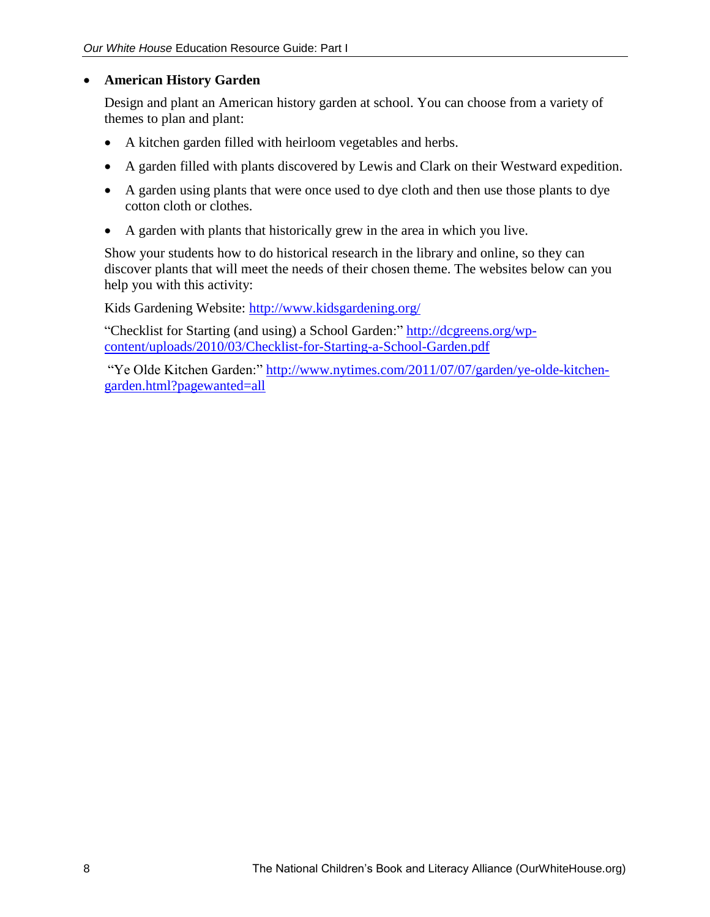## **American History Garden**

Design and plant an American history garden at school. You can choose from a variety of themes to plan and plant:

- A kitchen garden filled with heirloom vegetables and herbs.
- A garden filled with plants discovered by Lewis and Clark on their Westward expedition.
- A garden using plants that were once used to dye cloth and then use those plants to dye cotton cloth or clothes.
- A garden with plants that historically grew in the area in which you live.

Show your students how to do historical research in the library and online, so they can discover plants that will meet the needs of their chosen theme. The websites below can you help you with this activity:

Kids Gardening Website:<http://www.kidsgardening.org/>

"Checklist for Starting (and using) a School Garden:" [http://dcgreens.org/wp](http://dcgreens.org/wp-content/uploads/2010/03/Checklist-for-Starting-a-School-Garden.pdf)[content/uploads/2010/03/Checklist-for-Starting-a-School-Garden.pdf](http://dcgreens.org/wp-content/uploads/2010/03/Checklist-for-Starting-a-School-Garden.pdf)

"Ye Olde Kitchen Garden:" [http://www.nytimes.com/2011/07/07/garden/ye-olde-kitchen](http://www.nytimes.com/2011/07/07/garden/ye-olde-kitchen-garden.html?pagewanted=all)[garden.html?pagewanted=all](http://www.nytimes.com/2011/07/07/garden/ye-olde-kitchen-garden.html?pagewanted=all)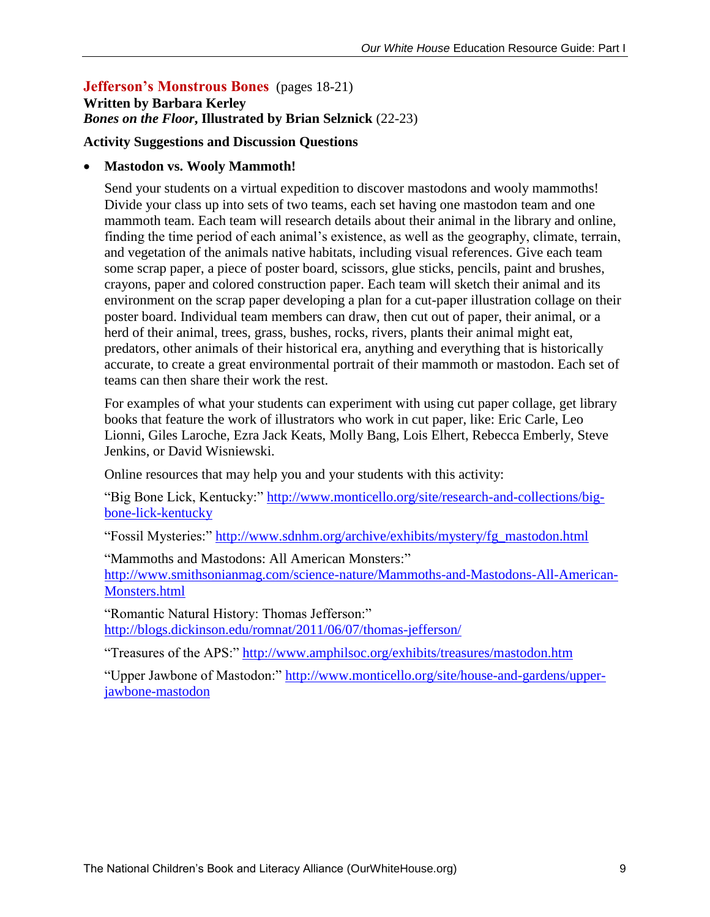#### **Jefferson's Monstrous Bones** (pages 18-21) **Written by Barbara Kerley** *Bones on the Floor***, Illustrated by Brian Selznick** (22-23)

#### **Activity Suggestions and Discussion Questions**

#### **Mastodon vs. Wooly Mammoth!**

Send your students on a virtual expedition to discover mastodons and wooly mammoths! Divide your class up into sets of two teams, each set having one mastodon team and one mammoth team. Each team will research details about their animal in the library and online, finding the time period of each animal's existence, as well as the geography, climate, terrain, and vegetation of the animals native habitats, including visual references. Give each team some scrap paper, a piece of poster board, scissors, glue sticks, pencils, paint and brushes, crayons, paper and colored construction paper. Each team will sketch their animal and its environment on the scrap paper developing a plan for a cut-paper illustration collage on their poster board. Individual team members can draw, then cut out of paper, their animal, or a herd of their animal, trees, grass, bushes, rocks, rivers, plants their animal might eat, predators, other animals of their historical era, anything and everything that is historically accurate, to create a great environmental portrait of their mammoth or mastodon. Each set of teams can then share their work the rest.

For examples of what your students can experiment with using cut paper collage, get library books that feature the work of illustrators who work in cut paper, like: Eric Carle, Leo Lionni, Giles Laroche, Ezra Jack Keats, Molly Bang, Lois Elhert, Rebecca Emberly, Steve Jenkins, or David Wisniewski.

Online resources that may help you and your students with this activity:

"Big Bone Lick, Kentucky:" [http://www.monticello.org/site/research-and-collections/big](http://www.monticello.org/site/research-and-collections/big-bone-lick-kentucky)[bone-lick-kentucky](http://www.monticello.org/site/research-and-collections/big-bone-lick-kentucky)

"Fossil Mysteries:" [http://www.sdnhm.org/archive/exhibits/mystery/fg\\_mastodon.html](http://www.sdnhm.org/archive/exhibits/mystery/fg_mastodon.html)

"Mammoths and Mastodons: All American Monsters:" [http://www.smithsonianmag.com/science-nature/Mammoths-and-Mastodons-All-American-](http://www.smithsonianmag.com/science-nature/Mammoths-and-Mastodons-All-American-Monsters.html)[Monsters.html](http://www.smithsonianmag.com/science-nature/Mammoths-and-Mastodons-All-American-Monsters.html)

"Romantic Natural History: Thomas Jefferson:" <http://blogs.dickinson.edu/romnat/2011/06/07/thomas-jefferson/>

"Treasures of the APS:"<http://www.amphilsoc.org/exhibits/treasures/mastodon.htm>

"Upper Jawbone of Mastodon:" [http://www.monticello.org/site/house-and-gardens/upper](http://www.monticello.org/site/house-and-gardens/upper-jawbone-mastodon)[jawbone-mastodon](http://www.monticello.org/site/house-and-gardens/upper-jawbone-mastodon)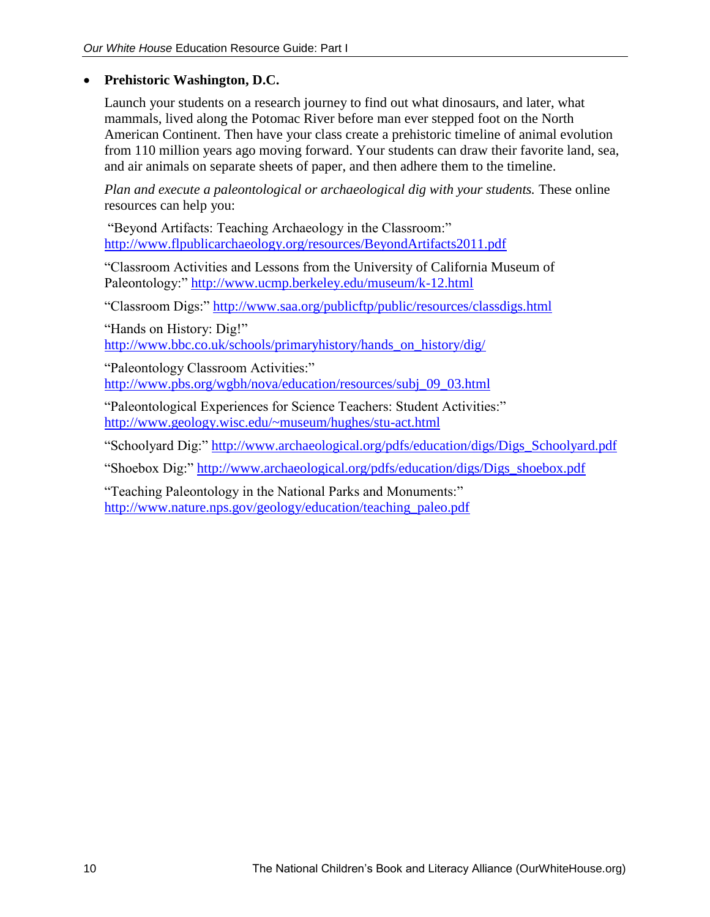## **Prehistoric Washington, D.C.**

Launch your students on a research journey to find out what dinosaurs, and later, what mammals, lived along the Potomac River before man ever stepped foot on the North American Continent. Then have your class create a prehistoric timeline of animal evolution from 110 million years ago moving forward. Your students can draw their favorite land, sea, and air animals on separate sheets of paper, and then adhere them to the timeline.

*Plan and execute a paleontological or archaeological dig with your students.* These online resources can help you:

"Beyond Artifacts: Teaching Archaeology in the Classroom:" <http://www.flpublicarchaeology.org/resources/BeyondArtifacts2011.pdf>

"Classroom Activities and Lessons from the University of California Museum of Paleontology:"<http://www.ucmp.berkeley.edu/museum/k-12.html>

"Classroom Digs:"<http://www.saa.org/publicftp/public/resources/classdigs.html>

"Hands on History: Dig!" [http://www.bbc.co.uk/schools/primaryhistory/hands\\_on\\_history/dig/](http://www.bbc.co.uk/schools/primaryhistory/hands_on_history/dig/)

"Paleontology Classroom Activities:" [http://www.pbs.org/wgbh/nova/education/resources/subj\\_09\\_03.html](http://www.pbs.org/wgbh/nova/education/resources/subj_09_03.html)

"Paleontological Experiences for Science Teachers: Student Activities:" <http://www.geology.wisc.edu/~museum/hughes/stu-act.html>

"Schoolyard Dig:" [http://www.archaeological.org/pdfs/education/digs/Digs\\_Schoolyard.pdf](http://www.archaeological.org/pdfs/education/digs/Digs_Schoolyard.pdf)

"Shoebox Dig:" [http://www.archaeological.org/pdfs/education/digs/Digs\\_shoebox.pdf](http://www.archaeological.org/pdfs/education/digs/Digs_shoebox.pdf)

"Teaching Paleontology in the National Parks and Monuments:" [http://www.nature.nps.gov/geology/education/teaching\\_paleo.pdf](http://www.nature.nps.gov/geology/education/teaching_paleo.pdf)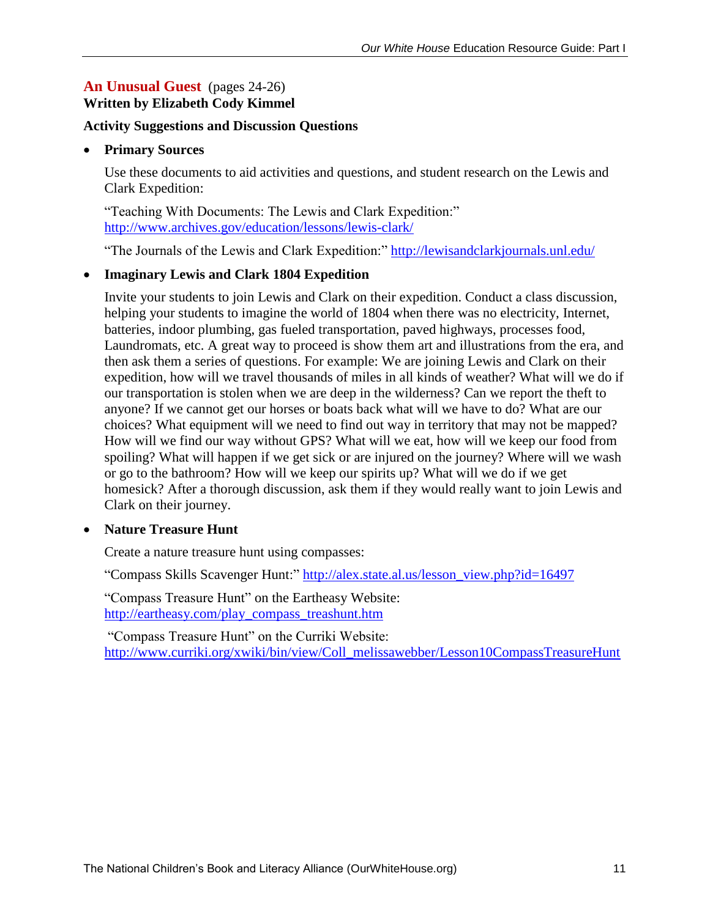#### An Unusual Guest (pages 24-26) **Written by Elizabeth Cody Kimmel**

#### **Activity Suggestions and Discussion Questions**

#### **Primary Sources**

Use these documents to aid activities and questions, and student research on the Lewis and Clark Expedition:

"Teaching With Documents: The Lewis and Clark Expedition:" <http://www.archives.gov/education/lessons/lewis-clark/>

"The Journals of the Lewis and Clark Expedition:"<http://lewisandclarkjournals.unl.edu/>

#### **Imaginary Lewis and Clark 1804 Expedition**

Invite your students to join Lewis and Clark on their expedition. Conduct a class discussion, helping your students to imagine the world of 1804 when there was no electricity, Internet, batteries, indoor plumbing, gas fueled transportation, paved highways, processes food, Laundromats, etc. A great way to proceed is show them art and illustrations from the era, and then ask them a series of questions. For example: We are joining Lewis and Clark on their expedition, how will we travel thousands of miles in all kinds of weather? What will we do if our transportation is stolen when we are deep in the wilderness? Can we report the theft to anyone? If we cannot get our horses or boats back what will we have to do? What are our choices? What equipment will we need to find out way in territory that may not be mapped? How will we find our way without GPS? What will we eat, how will we keep our food from spoiling? What will happen if we get sick or are injured on the journey? Where will we wash or go to the bathroom? How will we keep our spirits up? What will we do if we get homesick? After a thorough discussion, ask them if they would really want to join Lewis and Clark on their journey.

#### **Nature Treasure Hunt**

Create a nature treasure hunt using compasses:

"Compass Skills Scavenger Hunt:" [http://alex.state.al.us/lesson\\_view.php?id=16497](http://alex.state.al.us/lesson_view.php?id=16497)

"Compass Treasure Hunt" on the Eartheasy Website: [http://eartheasy.com/play\\_compass\\_treashunt.htm](http://eartheasy.com/play_compass_treashunt.htm)

"Compass Treasure Hunt" on the Curriki Website: [http://www.curriki.org/xwiki/bin/view/Coll\\_melissawebber/Lesson10CompassTreasureHunt](http://www.curriki.org/xwiki/bin/view/Coll_melissawebber/Lesson10CompassTreasureHunt)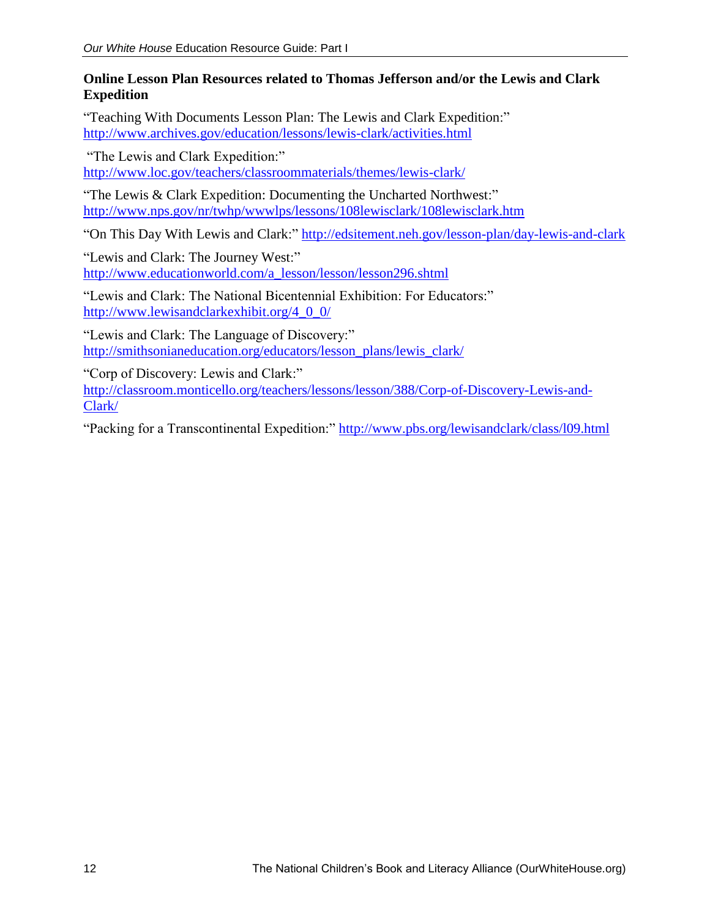#### **Online Lesson Plan Resources related to Thomas Jefferson and/or the Lewis and Clark Expedition**

"Teaching With Documents Lesson Plan: The Lewis and Clark Expedition:" <http://www.archives.gov/education/lessons/lewis-clark/activities.html>

"The Lewis and Clark Expedition:" <http://www.loc.gov/teachers/classroommaterials/themes/lewis-clark/>

"The Lewis & Clark Expedition: Documenting the Uncharted Northwest:" <http://www.nps.gov/nr/twhp/wwwlps/lessons/108lewisclark/108lewisclark.htm>

"On This Day With Lewis and Clark:"<http://edsitement.neh.gov/lesson-plan/day-lewis-and-clark>

"Lewis and Clark: The Journey West:" [http://www.educationworld.com/a\\_lesson/lesson/lesson296.shtml](http://www.educationworld.com/a_lesson/lesson/lesson296.shtml)

"Lewis and Clark: The National Bicentennial Exhibition: For Educators:" [http://www.lewisandclarkexhibit.org/4\\_0\\_0/](http://www.lewisandclarkexhibit.org/4_0_0/)

"Lewis and Clark: The Language of Discovery:" [http://smithsonianeducation.org/educators/lesson\\_plans/lewis\\_clark/](http://smithsonianeducation.org/educators/lesson_plans/lewis_clark/)

"Corp of Discovery: Lewis and Clark:" [http://classroom.monticello.org/teachers/lessons/lesson/388/Corp-of-Discovery-Lewis-and-](http://classroom.monticello.org/teachers/lessons/lesson/388/Corp-of-Discovery-Lewis-and-Clark/)[Clark/](http://classroom.monticello.org/teachers/lessons/lesson/388/Corp-of-Discovery-Lewis-and-Clark/)

"Packing for a Transcontinental Expedition:" http://www.pbs.org/lewisandclark/class/109.html